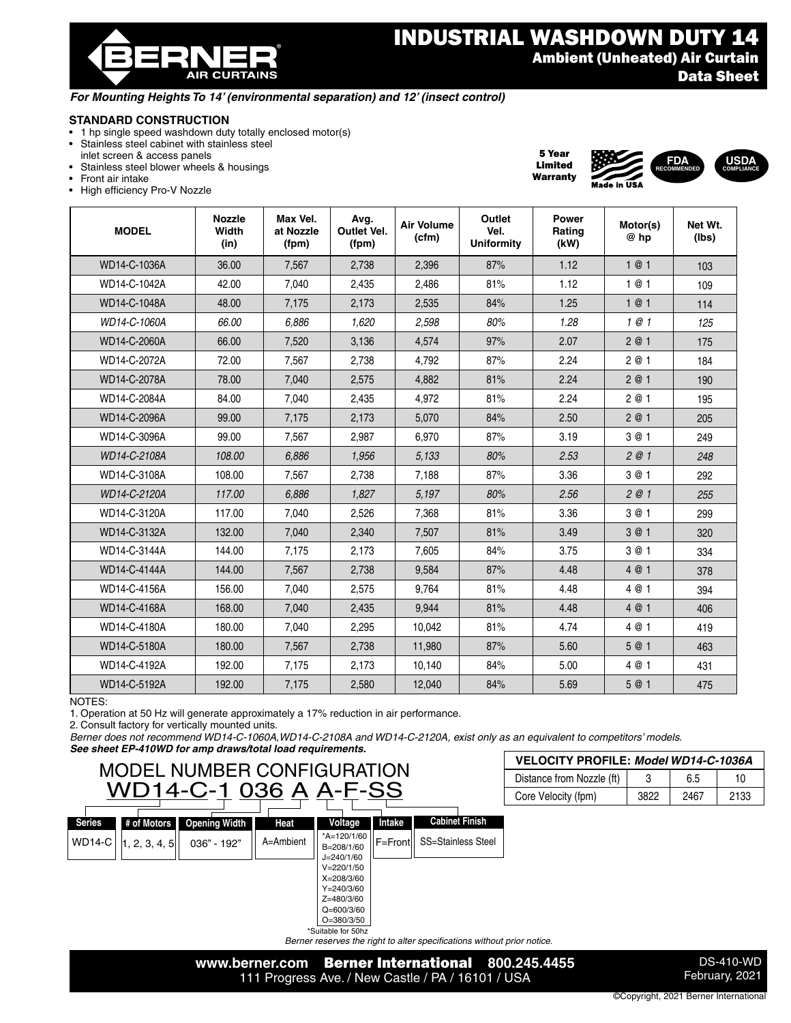® **AIR CURTAINS** 

5 Year Limited Warranty

**FDA RECOMMENDED**

**USDA COMPLIANCE**

#### *For Mounting Heights To 14' (environmental separation) and 12' (insect control)*

# **STANDARD CONSTRUCTION**

- 1 hp single speed washdown duty totally enclosed motor(s)
- Stainless steel cabinet with stainless steel
- inlet screen & access panels • Stainless steel blower wheels & housings
- Front air intake
- High efficiency Pro-V Nozzle

| <b>MODEL</b> | <b>Nozzle</b><br>Width<br>(in) | Max Vel.<br>at Nozzle<br>(fpm) | Avg.<br>Outlet Vel.<br>(fpm) | Air Volume<br>(cfm) | Outlet<br>Vel.<br><b>Uniformity</b> | Power<br>Rating<br>(kW) | Motor(s)<br>@ hp | Net Wt.<br>(Ibs) |
|--------------|--------------------------------|--------------------------------|------------------------------|---------------------|-------------------------------------|-------------------------|------------------|------------------|
| WD14-C-1036A | 36.00                          | 7,567                          | 2,738                        | 2,396               | 87%                                 | 1.12                    | 1@1              | 103              |
| WD14-C-1042A | 42.00                          | 7,040                          | 2,435                        | 2,486               | 81%                                 | 1.12                    | 1 @ 1            | 109              |
| WD14-C-1048A | 48.00                          | 7,175                          | 2,173                        | 2,535               | 84%                                 | 1.25                    | 1@1              | 114              |
| WD14-C-1060A | 66.00                          | 6,886                          | 1,620                        | 2,598               | 80%                                 | 1.28                    | 1@1              | 125              |
| WD14-C-2060A | 66.00                          | 7,520                          | 3,136                        | 4,574               | 97%                                 | 2.07                    | 2 @ 1            | 175              |
| WD14-C-2072A | 72.00                          | 7,567                          | 2,738                        | 4,792               | 87%                                 | 2.24                    | 2 @ 1            | 184              |
| WD14-C-2078A | 78.00                          | 7,040                          | 2,575                        | 4,882               | 81%                                 | 2.24                    | 2@1              | 190              |
| WD14-C-2084A | 84.00                          | 7,040                          | 2,435                        | 4,972               | 81%                                 | 2.24                    | 2 @ 1            | 195              |
| WD14-C-2096A | 99.00                          | 7,175                          | 2,173                        | 5,070               | 84%                                 | 2.50                    | 2@1              | 205              |
| WD14-C-3096A | 99.00                          | 7,567                          | 2,987                        | 6,970               | 87%                                 | 3.19                    | 3 @ 1            | 249              |
| WD14-C-2108A | 108.00                         | 6,886                          | 1,956                        | 5,133               | 80%                                 | 2.53                    | 2@1              | 248              |
| WD14-C-3108A | 108.00                         | 7,567                          | 2,738                        | 7,188               | 87%                                 | 3.36                    | 3 @ 1            | 292              |
| WD14-C-2120A | 117.00                         | 6,886                          | 1,827                        | 5,197               | 80%                                 | 2.56                    | 2@1              | 255              |
| WD14-C-3120A | 117.00                         | 7,040                          | 2,526                        | 7,368               | 81%                                 | 3.36                    | 3 @ 1            | 299              |
| WD14-C-3132A | 132.00                         | 7,040                          | 2,340                        | 7,507               | 81%                                 | 3.49                    | 3@1              | 320              |
| WD14-C-3144A | 144.00                         | 7,175                          | 2,173                        | 7,605               | 84%                                 | 3.75                    | 3 @ 1            | 334              |
| WD14-C-4144A | 144.00                         | 7,567                          | 2,738                        | 9,584               | 87%                                 | 4.48                    | 4 @ 1            | 378              |
| WD14-C-4156A | 156.00                         | 7,040                          | 2,575                        | 9,764               | 81%                                 | 4.48                    | 4 @ 1            | 394              |
| WD14-C-4168A | 168.00                         | 7,040                          | 2,435                        | 9,944               | 81%                                 | 4.48                    | 4 @ 1            | 406              |
| WD14-C-4180A | 180.00                         | 7,040                          | 2,295                        | 10,042              | 81%                                 | 4.74                    | 4 @ 1            | 419              |
| WD14-C-5180A | 180.00                         | 7,567                          | 2,738                        | 11,980              | 87%                                 | 5.60                    | 5 @ 1            | 463              |
| WD14-C-4192A | 192.00                         | 7,175                          | 2,173                        | 10,140              | 84%                                 | 5.00                    | 4 @ 1            | 431              |
| WD14-C-5192A | 192.00                         | 7,175                          | 2,580                        | 12,040              | 84%                                 | 5.69                    | 5 @ 1            | 475              |

NOTES:

1. Operation at 50 Hz will generate approximately a 17% reduction in air performance.

2. Consult factory for vertically mounted units.

*Berner does not recommend WD14-C-1060A,WD14-C-2108A and WD14-C-2120A, exist only as an equivalent to competitors' models.* 

*See sheet EP-410WD for amp draws/total load requirements.*

### MODEL NUMBER CONFIGURATION WD14-C-1 036 A A-F-SS **# of Motors Opening Width Heat Voltage Intake**

| <b>VELOCITY PROFILE: Model WD14-C-1036A</b> |      |      |      |  |  |  |  |
|---------------------------------------------|------|------|------|--|--|--|--|
| Distance from Nozzle (ft)                   |      | 65   | 10   |  |  |  |  |
| Core Velocity (fpm)                         | 3822 | 2467 | 2133 |  |  |  |  |

| .                           |                      |           |                                                                                                                                 |                |                           |
|-----------------------------|----------------------|-----------|---------------------------------------------------------------------------------------------------------------------------------|----------------|---------------------------|
| # of Motors                 | <b>Opening Width</b> | Heat      | Voltage                                                                                                                         | Intake         | <b>Cabinet Finish</b>     |
| $\vert 1, 2, 3, 4, 5 \vert$ | 036" - 192"          | A=Ambient | *A=120/1/60<br>B=208/1/60<br>$J=240/1/60$<br>$V = 220/1/50$<br>$X = 208/3/60$<br>$Y = 240/3/60$<br>Z=480/3/60<br>$Q = 600/3/60$ | IF=Frontll     | <b>SS=Stainless Steel</b> |
|                             |                      |           | ---                                                                                                                             | $O = 380/3/50$ |                           |

\*Suitable for 50hz *Berner reserves the right to alter specifications without prior notice.*



DS-410-WD February, 2021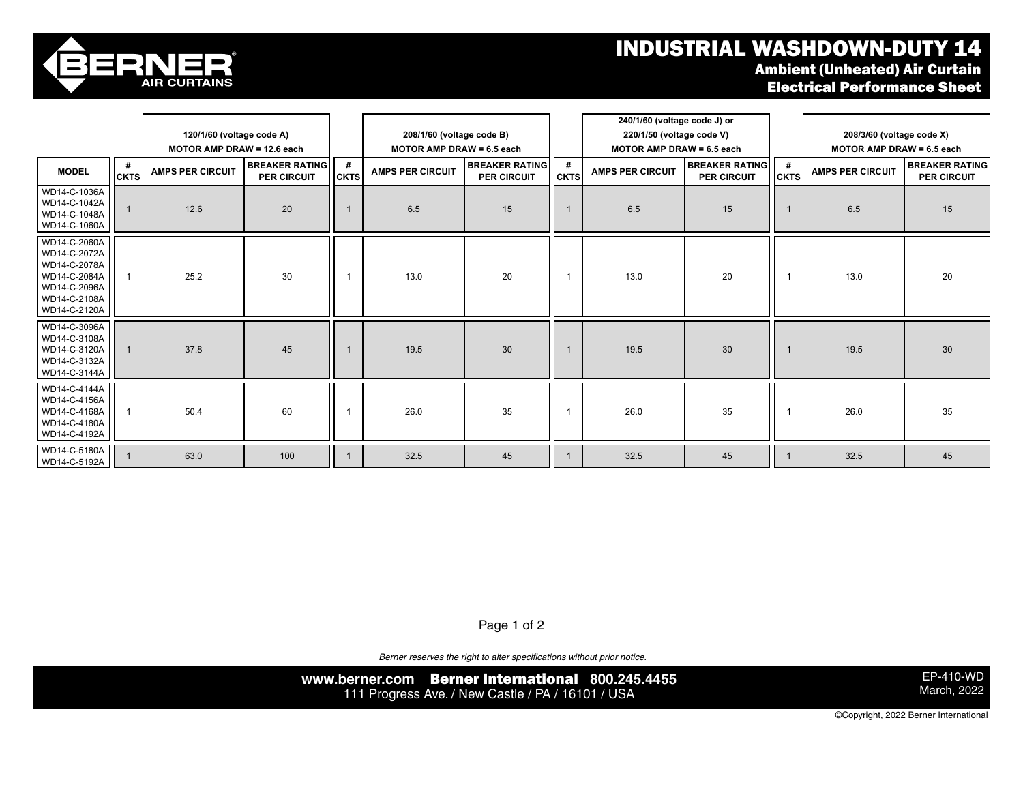## **INDUSTRIAL WASHDOWN-DUTY 14**<br>Ambient (Unheated) Air Curtain **L** Illahos



WD14-C-2120A

|  | Ambient (Unneated) Air Curtain      |  |
|--|-------------------------------------|--|
|  | <b>Electrical Performance Sheet</b> |  |

|                                                                                                              |                  |                            |                                             |                         |                                  |                                             |                  | 240/1/60 (voltage code J) or     |                                      |                  |                             |                                      |
|--------------------------------------------------------------------------------------------------------------|------------------|----------------------------|---------------------------------------------|-------------------------|----------------------------------|---------------------------------------------|------------------|----------------------------------|--------------------------------------|------------------|-----------------------------|--------------------------------------|
|                                                                                                              |                  | 120/1/60 (voltage code A)  |                                             |                         | 208/1/60 (voltage code B)        |                                             |                  | 220/1/50 (voltage code V)        |                                      |                  | 208/3/60 (voltage code X)   |                                      |
|                                                                                                              |                  | MOTOR AMP DRAW = 12.6 each |                                             |                         | <b>MOTOR AMP DRAW = 6.5 each</b> |                                             |                  | <b>MOTOR AMP DRAW = 6.5 each</b> |                                      |                  | MOTOR AMP DRAW = $6.5$ each |                                      |
| <b>MODEL</b>                                                                                                 | #<br><b>CKTS</b> | <b>AMPS PER CIRCUIT</b>    | <b>BREAKER RATING</b><br><b>PER CIRCUIT</b> | #<br><b>CKTS</b>        | <b>AMPS PER CIRCUIT</b>          | <b>BREAKER RATING</b><br><b>PER CIRCUIT</b> | #<br><b>CKTS</b> | <b>AMPS PER CIRCUIT</b>          | <b>BREAKER RATING</b><br>PER CIRCUIT | #<br><b>CKTS</b> | <b>AMPS PER CIRCUIT</b>     | <b>BREAKER RATING</b><br>PER CIRCUIT |
| WD14-C-1036A<br>WD14-C-1042A<br>WD14-C-1048A<br>WD14-C-1060A                                                 |                  | 12.6                       | 20                                          |                         | 6.5                              | 15                                          |                  | 6.5                              | 15                                   |                  | 6.5                         | 15                                   |
| WD14-C-2060A<br>WD14-C-2072A<br>WD14-C-2078A<br>WD14-C-2084A<br>WD14-C-2096A<br>WD14-C-2108A<br>WD14-C-2120A | 1                | 25.2                       | 30                                          |                         | 13.0                             | 20                                          |                  | 13.0                             | 20                                   |                  | 13.0                        | 20                                   |
| WD14-C-3096A<br>WD14-C-3108A<br>WD14-C-3120A<br>WD14-C-3132A<br>WD14-C-3144A                                 | $\mathbf{1}$     | 37.8                       | 45                                          | $\overline{\mathbf{1}}$ | 19.5                             | 30                                          |                  | 19.5                             | 30                                   |                  | 19.5                        | 30                                   |
| WD14-C-4144A<br>WD14-C-4156A<br>WD14-C-4168A<br>WD14-C-4180A<br>WD14-C-4192A                                 |                  | 50.4                       | 60                                          | -1                      | 26.0                             | 35                                          |                  | 26.0                             | 35                                   |                  | 26.0                        | 35                                   |
| WD14-C-5180A<br>WD14-C-5192A                                                                                 |                  | 63.0                       | 100                                         |                         | 32.5                             | 45                                          |                  | 32.5                             | 45                                   |                  | 32.5                        | 45                                   |

Page 1 of 2  $\frac{1}{2}$  13.0  $\frac{1}{2}$ 

*Berner reserves the right to alter specifications without prior notice.*

**www.berner.com** Berner International **800.245.4455** 111 Progress Ave. / New Castle / PA / 16101 / USA

EP-410-WD March, 2022

©Copyright, 2022 Berner International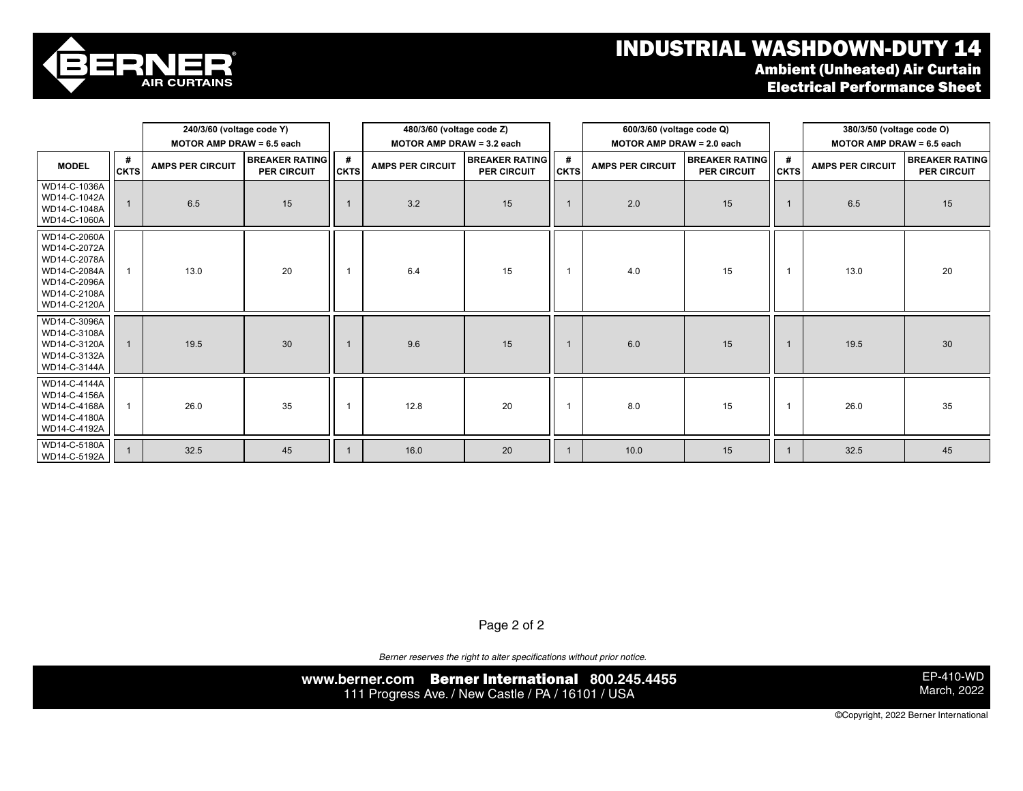## industrial washdown-duty 14 and 20 1 26.0  $\,$  Industrial washdown-duty 14  $\,$ Ambient (Unheated) Air Curtain Electrical Performance Sheet



|                                                                                                              |                  | 240/3/60 (voltage code Y)        |                                      |                  | 480/3/60 (voltage code Z) |                                      |                  | 600/3/60 (voltage code Q) |                                      |                  | 380/3/50 (voltage code O)   |                                      |
|--------------------------------------------------------------------------------------------------------------|------------------|----------------------------------|--------------------------------------|------------------|---------------------------|--------------------------------------|------------------|---------------------------|--------------------------------------|------------------|-----------------------------|--------------------------------------|
|                                                                                                              |                  | <b>MOTOR AMP DRAW = 6.5 each</b> |                                      |                  |                           | MOTOR AMP DRAW = 3.2 each            |                  | MOTOR AMP DRAW = 2.0 each |                                      |                  | MOTOR AMP DRAW = $6.5$ each |                                      |
| <b>MODEL</b>                                                                                                 | #<br><b>CKTS</b> | <b>AMPS PER CIRCUIT</b>          | <b>BREAKER RATING</b><br>PER CIRCUIT | #<br><b>CKTS</b> | <b>AMPS PER CIRCUIT</b>   | <b>BREAKER RATING</b><br>PER CIRCUIT | #<br><b>CKTS</b> | <b>AMPS PER CIRCUIT</b>   | <b>BREAKER RATING</b><br>PER CIRCUIT | #<br><b>CKTS</b> | <b>AMPS PER CIRCUIT</b>     | <b>BREAKER RATING</b><br>PER CIRCUIT |
| WD14-C-1036A<br>WD14-C-1042A<br>WD14-C-1048A<br>WD14-C-1060A                                                 |                  | 6.5                              | 15                                   | $\mathbf{1}$     | 3.2                       | 15                                   |                  | 2.0                       | 15                                   |                  | 6.5                         | 15                                   |
| WD14-C-2060A<br>WD14-C-2072A<br>WD14-C-2078A<br>WD14-C-2084A<br>WD14-C-2096A<br>WD14-C-2108A<br>WD14-C-2120A |                  | 13.0                             | 20                                   | -1               | 6.4                       | 15                                   |                  | 4.0                       | 15                                   | $\mathbf{1}$     | 13.0                        | 20                                   |
| WD14-C-3096A<br>WD14-C-3108A<br>WD14-C-3120A<br>WD14-C-3132A<br>WD14-C-3144A                                 |                  | 19.5                             | 30                                   |                  | 9.6                       | 15                                   |                  | 6.0                       | 15                                   |                  | 19.5                        | 30                                   |
| WD14-C-4144A<br>WD14-C-4156A<br>WD14-C-4168A<br>WD14-C-4180A<br>WD14-C-4192A                                 |                  | 26.0                             | 35                                   | -1               | 12.8                      | 20                                   |                  | 8.0                       | 15                                   | $\overline{1}$   | 26.0                        | 35                                   |
| WD14-C-5180A<br>WD14-C-5192A                                                                                 |                  | 32.5                             | 45                                   |                  | 16.0                      | 20                                   |                  | 10.0                      | 15                                   |                  | 32.5                        | 45                                   |

Page 2 of 2

*Berner reserves the right to alter specifications without prior notice.*

**www.berner.com** Berner International **800.245.4455** 111 Progress Ave. / New Castle / PA / 16101 / USA

EP-410-WD March, 2022

©Copyright, 2022 Berner International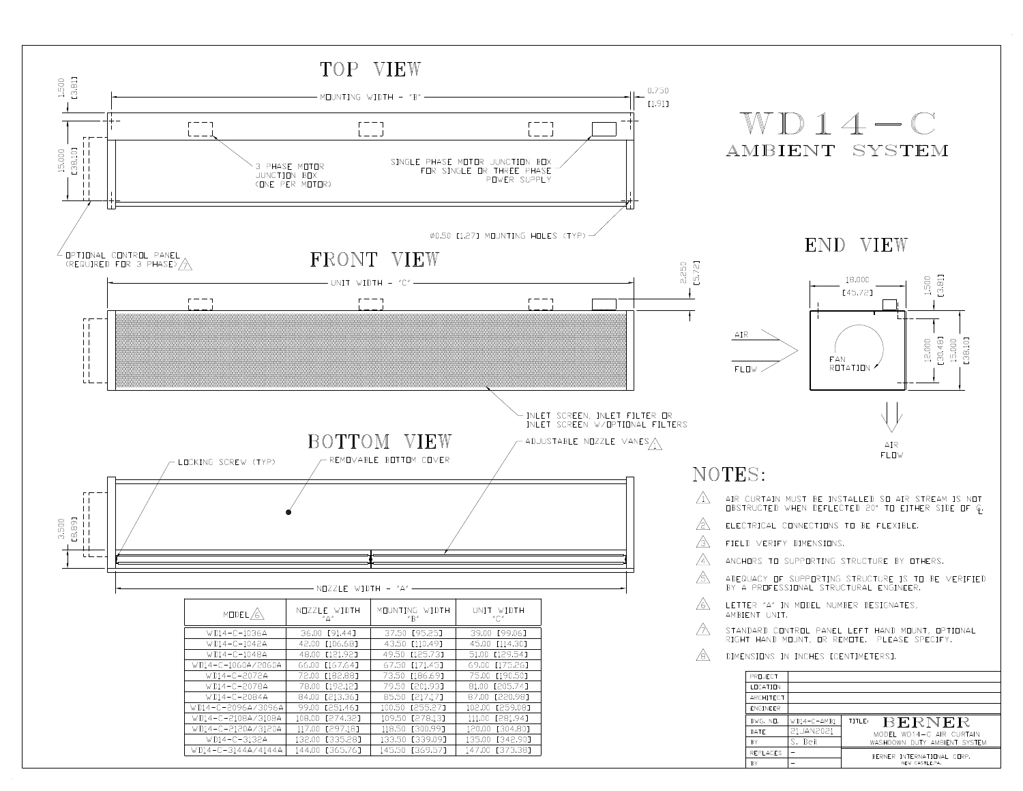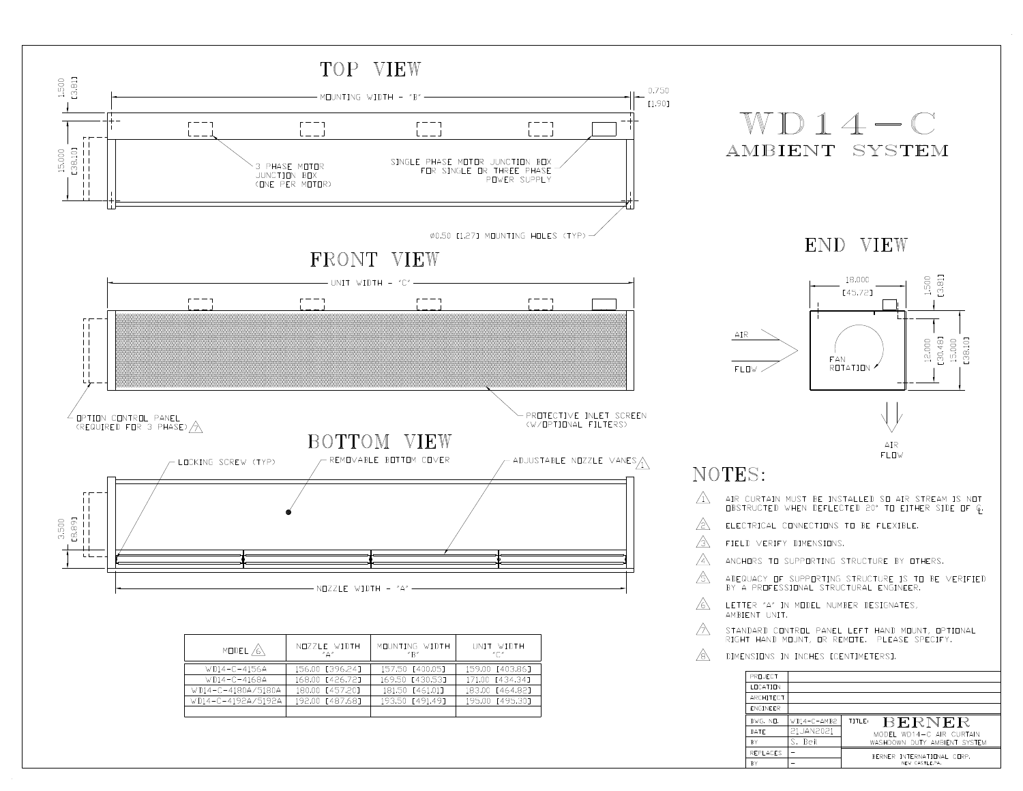

| MODEL A            | NUZZLE WIDTH<br>$"^{\Delta"}$ | MOUNTING WIDTH<br>''R'' | UNIT WIDTH<br>″∩″ |
|--------------------|-------------------------------|-------------------------|-------------------|
| $WDI4-C-4156A$     | 156.00 [396.241               | 157.50 [400.05]         | 159.00 [403.86]   |
| $WDI4-C-4168A$     | 168.00 [426.72]               | 169.50 [430.53]         | 171.00 [434.34]   |
| WD14-C-4180A/5180A | 180.00 [457.20]               | 181.50 [461.01]         | 183.00 [464.82]   |
| W114-C-4192A/5192A | 192.00 [487.68]               | 193.50 [491.49]         | 195.00 [495.30]   |
|                    |                               |                         |                   |

| DIMENSIONS IN INCHES ECENTIMETERST. |               |                              |  |  |  |  |  |
|-------------------------------------|---------------|------------------------------|--|--|--|--|--|
| PRILIFCT                            |               |                              |  |  |  |  |  |
| <b>I FICATION</b>                   |               |                              |  |  |  |  |  |
| ARCHITECT                           |               |                              |  |  |  |  |  |
| <b>FNGINFFR</b>                     |               |                              |  |  |  |  |  |
| DWG. ND.                            | $WD14-C-AMB2$ | <b>BERNER</b><br>TITLE:      |  |  |  |  |  |
| DATE                                | 21JAN2021     | MODEL WD14-C AIR CURTAIN     |  |  |  |  |  |
| <b>BY</b>                           | S. Beil       | WASHDOWN DUTY AMBIENT SYSTEM |  |  |  |  |  |
| <b>REPLACES</b>                     |               | BERNER INTERNATIONAL CORP.   |  |  |  |  |  |
| <b>BY</b>                           |               | NEW CASTLE,PA.               |  |  |  |  |  |

⚠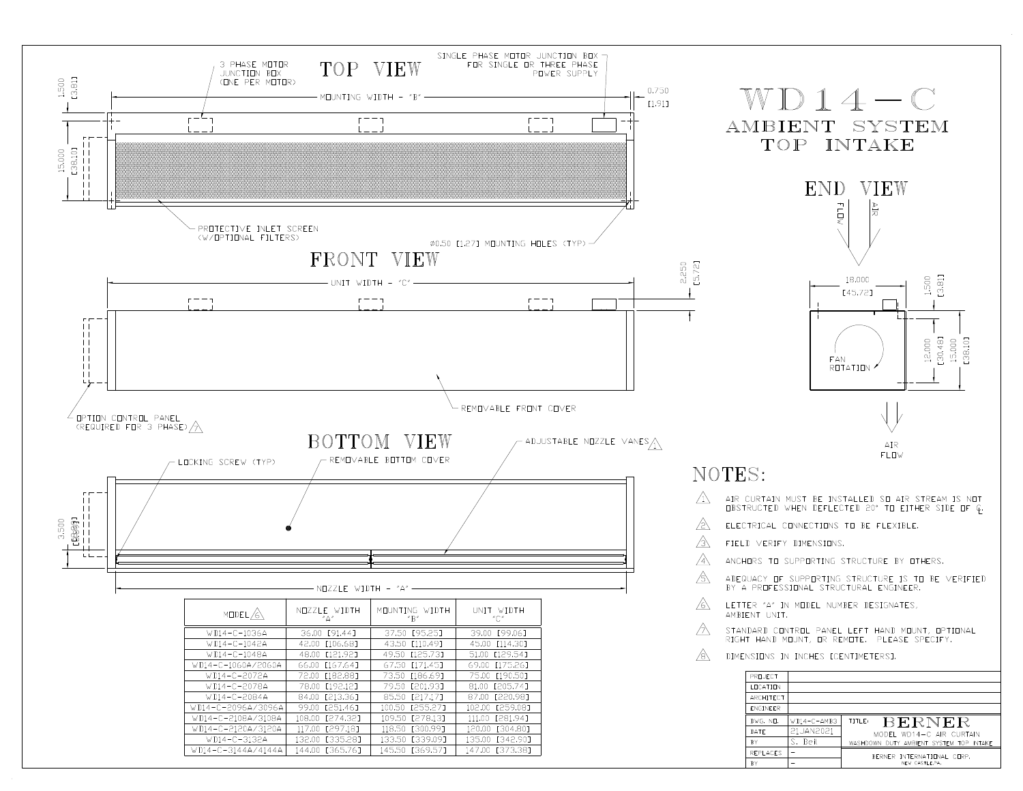